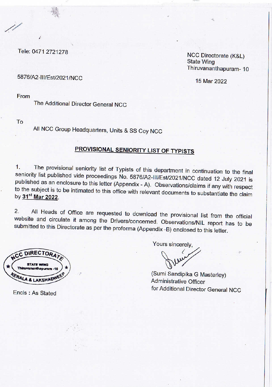Tele: 0471 2721278

**NCC Directorate (K&L) State Wing** Thiruvananthapuram-10

15 Mar 2022

5876/A2-III/Est/2021/NCC

From

The Additional Director General NCC

To

All NCC Group Headquarters, Units & SS Coy NCC

## PROVISIONAL SENIORITY LIST OF TYPISTS

The provisional seniority list of Typists of this department in continuation to the final  $1<sub>1</sub>$ seniority list published vide proceedings No. 5876/A2-III/Est/2021/NCC dated 12 July 2021 is published as an enclosure to this letter (Appendix - A). Observations/claims if any with respect to the subject is to be intimated to this office with relevant documents to substantiate the claim by 31<sup>st</sup> Mar 2022.

All Heads of Office are requested to download the provisional list from the official  $2.$ website and circulate it among the Drivers/concerned. Observations/NIL report has to be submitted to this Directorate as per the proforma (Appendix -B) enclosed to this letter.

**DIRECTORA** 

Encls: As Stated

Yours sincerely.

(Sumi Sandipika G Masterley) **Administrative Officer** for Additional Director General NCC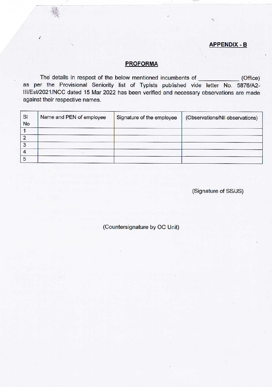## **APPENDIX - B**

## **PROFORMA**

The details in respect of the below mentioned incumbents of  $(Office)$ as per the Provisional Seniority list of Typists published vide letter No. 5876/A2-III/Est/2021/NCC dated 15 Mar 2022 has been verified and necessary observations are made against their respective names.

| SI<br><b>No</b> | Name and PEN of employee | Signature of the employee | (Observations/Nil observations) |
|-----------------|--------------------------|---------------------------|---------------------------------|
|                 |                          |                           |                                 |
|                 |                          |                           |                                 |
| 3               |                          |                           |                                 |
|                 |                          |                           |                                 |
| 5               |                          |                           |                                 |

(Signature of SS/JS)

(Countersignature by OC Unit)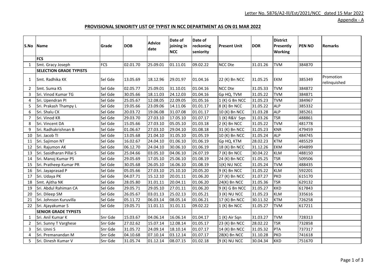Appendix - A

## **PROVISIONAL SENIORITY LIST OF TYPIST IN NCC DEPARTMENT AS ON 01 MAR 2022**

|                       | S.No Name                      | Grade      | <b>DOB</b> | <b>Advice</b><br>date | Date of<br>joining in<br><b>NCC</b> | Date of<br>reckoning<br>seniority | <b>Present Unit</b> | <b>DOR</b> | <b>District</b><br>Presently<br><b>Working</b> | <b>PEN NO</b> | <b>Remarks</b>            |
|-----------------------|--------------------------------|------------|------------|-----------------------|-------------------------------------|-----------------------------------|---------------------|------------|------------------------------------------------|---------------|---------------------------|
|                       | <b>FCS</b>                     |            |            |                       |                                     |                                   |                     |            |                                                |               |                           |
| 1                     | Smt. Gracy Joseph              | <b>FCS</b> | 02.01.70   | 25.09.01              | 01.11.01                            | 09.02.22                          | <b>NCC Dte</b>      | 31.01.26   | <b>TVM</b>                                     | 384870        |                           |
|                       | <b>SELECTION GRADE TYPISTS</b> |            |            |                       |                                     |                                   |                     |            |                                                |               |                           |
| 1                     | Smt. Radhika KK                | Sel Gde    | 13.05.69   | 18.12.96              | 29.01.97                            | 01.04.16                          | 22 (K) Bn NCC       | 31.05.25   | <b>EKM</b>                                     | 385349        | Promotion<br>relinquished |
| 2                     | Smt. Suma KS                   | Sel Gde    | 02.05.77   | 25.09.01              | 31.10.01                            | 01.04.16                          | <b>NCC Dte</b>      | 31.05.33   | <b>TVM</b>                                     | 384872        |                           |
| $\overline{3}$        | Sri. Vinod Kumar TG            | Sel Gde    | 30.05.66   | 18.11.03              | 24.12.03                            | 01.04.16                          | Gp HQ, TVM          | 31.05.22   | <b>TVM</b>                                     | 384871        |                           |
| $\Delta$              | Sri. Upendran PI               | Sel Gde    | 25.05.67   | 12.08.05              | 22.09.05                            | 01.05.16                          | 1 (K) G Bn NCC      | 31.05.23   | <b>TVM</b>                                     | 384967        |                           |
| 5                     | Sri. Prakash Thampy L          | Sel Gde    | 19.05.66   | 23.09.06              | 14.11.06                            | 01.01.17                          | 8 (K) Bn NCC        | 31.05.22   | <b>ALP</b>                                     | 385332        |                           |
| 6                     | Sri. Shalu CK                  | Sel Gde    | 20.03.72   | 19.06.08              | 31.07.08                            | 01.01.17                          | 10 (K) Bn NCC       | 31.03.28   | <b>ALP</b>                                     | 385261        |                           |
| $\overline{7}$        | Sri. Vinod KR                  | Sel Gde    | 29.03.70   | 27.03.10              | 17.05.10                            | 01.07.17                          | 1 (K) R&V Sqn       | 31.03.26   | <b>TSR</b>                                     | 488861        |                           |
| 8                     | Sri. Vincent DA                | Sel Gde    | 15.05.66   | 27.03.10              | 05.05.10                            | 01.03.18                          | 2 (K) Bn NCC        | 31.05.22   | <b>TVM</b>                                     | 481778        |                           |
| 9                     | Sri. Radhakrishnan B           | Sel Gde    | 01.06.67   | 27.03.10              | 29.04.10                            | 01.08.18                          | 31 (K) Bn NCC       | 31.05.23   | <b>KNR</b>                                     | 479459        |                           |
| 10                    | Sri. Jacob TI                  | Sel Gde    | 13.05.68   | 21.04.10              | 31.05.10                            | 01.05.19                          | 10 (K) Bn NCC       | 31.05.24   | <b>ALP</b>                                     | 484745        |                           |
| 11                    | Sri. Sajimon NT                | Sel Gde    | 16.02.67   | 24.04.10              | 01.06.10                            | 01.06.19                          | Gp HQ, KTM          | 28.02.23   | <b>KTM</b>                                     | 485529        |                           |
| 12                    | Sri. Rajumon AK                | Sel Gde    | 06.12.70   | 24.04.10              | 30.06.10                            | 01.06.19                          | 18 (K) Bn NCC       | 31.12.26   | EKM                                            | 494899        |                           |
| 13                    | Sri. Sasidharan Pillai S       | Sel Gde    | 25.04.66   | 03.05.10              | 04.06.10                            | 26.07.19                          | 7 (K) Bn NCC        | 30.04.22   | <b>KLM</b>                                     | 488150        |                           |
| 14                    | Sri. Manoj Kumar PS            | Sel Gde    | 29.05.69   | 17.05.10              | 25.06.10                            | 01.08.19                          | 24 (K) Bn NCC       | 31.05.25   | <b>TSR</b>                                     | 509506        |                           |
| 15                    | Sri. Pratheep Kumar PR         | Sel Gde    | 30.05.68   | 26.05.10              | 16.06.10                            | 01.08.19                          | $1(K)$ NU NCC       | 31.05.24   | <b>TVM</b>                                     | 488435        |                           |
| 16                    | Sri. Jayaprasad P              | Sel Gde    | 05.05.66   | 27.03.10              | 25.10.10                            | 20.05.20                          | 9 (K) Bn NCC        | 31.05.22   | <b>KLM</b>                                     | 592201        |                           |
| 17                    | Sri. Udaya PK                  | Sel Gde    | 04.07.71   | 15.12.10              | 20.01.11                            | 01.06.20                          | 27 (K) Bn NCC       | 31.07.27   | <b>PKD</b>                                     | 615170        |                           |
| 18                    | Smt. Ajitha NK                 | Sel Gde    | 28.05.80   | 31.01.11              | 20.04.11                            | 01.06.20                          | 24(K) Bn NCC        | 31.05.36   | <b>TSR</b>                                     | 629132        |                           |
| 19                    | Sri. Abdul Rahiman CA          | Sel Gde    | 29.05.71   | 29.05.10              | 27.01.11                            | 01.06.20                          | 9 (K) G Bn NCC      | 31.05.27   | <b>KKD</b>                                     | 617843        |                           |
| 20                    | Sri. Dileep SM                 | Sel Gde    | 26.05.67   | 03.01.13              | 25.02.13                            | 01.05.21                          | 3 (K) NU NCC        | 31.05.23   | <b>KLM</b>                                     | 335616        |                           |
| 21                    | Sri. Johnson Kuruvilla         | Sel Gde    | 05.11.72   | 06.03.14              | 08.05.14                            | 01.06.21                          | 17 (K) Bn NCC       | 30.11.32   | <b>KTM</b>                                     | 726258        |                           |
| 22                    | Sri. Ajayakumar S              | Sel Gde    | 19.05.71   | 11.01.11              | 31.01.11                            | 09.02.22                          | 1 (K) Bn NCC        | 31.05.27   | <b>TVM</b>                                     | 617211        |                           |
|                       | <b>SENIOR GRADE TYPISTS</b>    |            |            |                       |                                     |                                   |                     |            |                                                |               |                           |
| -1                    | Sri. Anil Kumar K              | Snr Gde    | 15.03.67   | 04.06.14              | 16.06.14                            | 01.04.17                          | 1 (K) Air Sqn       | 31.03.27   | <b>TVM</b>                                     | 728313        |                           |
| $\overline{2}$        | Sri. Sunny T Varghese          | Snr Gde    | 27.02.62   | 15.07.14              | 12.08.14                            | 01.05.17                          | 23 (K) Bn NCC       | 28.02.22   | <b>TSR</b>                                     | 732858        |                           |
| 3                     | Sri. Unni S                    | Snr Gde    | 31.05.72   | 24.09.14              | 18.10.14                            | 01.07.17                          | 14 (K) Bn NCC       | 31.05.32   | <b>PTA</b>                                     | 737317        |                           |
| $\boldsymbol{\Delta}$ | Sri. Premanandan M             | Snr Gde    | 04.10.68   | 07.10.14              | 03.12.14                            | 01.07.17                          | 28(K) Bn NCC        | 31.10.28   | <b>PKD</b>                                     | 741618        |                           |
| 5                     | Sri. Dinesh Kumar V            | Snr Gde    | 31.05.74   | 01.12.14              | 08.07.15                            | 01.02.18                          | 9 (K) NU NCC        | 30.04.34   | <b>KKD</b>                                     | 751670        |                           |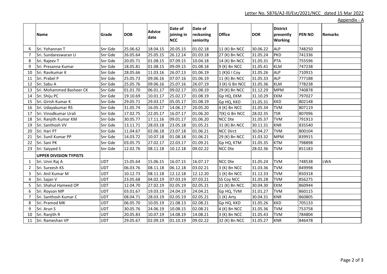|    | <b>Name</b>                   | Grade      | <b>DOB</b> | <b>Advice</b><br>date | Date of<br>joining in<br><b>NCC</b> | Date of<br>reckoning<br>seniority | <b>Office</b>    | <b>DOR</b> | <b>District</b><br>presently<br><b>Working</b> | <b>PEN NO</b> | <b>Remarks</b> |
|----|-------------------------------|------------|------------|-----------------------|-------------------------------------|-----------------------------------|------------------|------------|------------------------------------------------|---------------|----------------|
| 6  | Sri. Yohannan T               | Snr Gde    | 25.06.62   | 18.04.15              | 20.05.15                            | 01.02.18                          | 11 (K) Bn NCC    | 30.06.22   | <b>ALP</b>                                     | 748250        |                |
| 7  | Sri. Sundareswaran U          | Snr Gde    | 26.05.64   | 25.05.15              | 26.12.14                            | 01.03.18                          | 27 (K) Bn NCC    | 31.05.24   | <b>PKD</b>                                     | 741336        |                |
| 8  | Sri. Rajeev T                 | Snr Gde    | 20.05.71   | 01.08.15              | 07.09.15                            | 10.04.18                          | 14 (K) Bn NCC    | 31.05.31   | <b>PTA</b>                                     | 755596        |                |
| 9  | Sri. Presanna Kumar           | Snr Gde    | 18.05.81   | 01.08.15              | 09.09.15                            | 01.08.18                          | 9 (K) Bn NCC     | 31.05.41   | <b>KLM</b>                                     | 747238        |                |
| 10 | Sri. Ravikumar K              | Snr Gde    | 28.05.66   | 11.03.16              | 26.07.13                            | 01.06.19                          | 1 (K)G I Coy     | 31.05.26   | <b>ALP</b>                                     | 710915        |                |
| 11 | Sri. Prabel P                 | Snr Gde    | 25.05.73   | 09.06.16              | 07.07.16                            | 01.06.19                          | 11 (K) Bn NCC    | 31.05.33   | <b>ALP</b>                                     | 777188        |                |
| 12 | Sri. Sabu A                   | Snr Gde    | 25.05.76   | 09.06.16              | 25.07.16                            | 26.07.19                          | 3 (K) G Bn NCC   | 31.05.36   | <b>KLM</b>                                     | 778238        |                |
| 13 | Sri. Mohammed Basheer CK      | Snr Gde    | 01.01.70   | 06.01.17              | 09.02.17                            | 01.08.19                          | 29 (K) Bn NCC    | 31.12.29   | <b>MPM</b>                                     | 740878        |                |
| 14 | Sri. Shiju PC                 | Snr Gde    | 19.10.69   | 10.01.17              | 25.02.17                            | 01.08.19                          | Gp HQ, EKM       | 31.10.29   | <b>EKM</b>                                     | 797027        |                |
| 15 | Sri. Girish Kumar K           | Snr Gde    | 29.05.71   | 29.03.17              | 05.05.17                            | 01.08.19                          | Gp HQ, KKD       | 31.05.31   | <b>KKD</b>                                     | 802148        |                |
| 16 | Sri. Udayakumar RS            | Snr Gde    | 31.05.74   | 16.05.17              | 14.06.17                            | 20.05.20                          | 4 (K) Bn NCC     | 31.05.34   | <b>TVM</b>                                     | 807119        |                |
| 17 | Sri. Vinodkumar Urali         | Snr Gde    | 17.02.75   | 22.05.17              | 16.07.17                            | 01.06.20                          | 7(K) G Bn NCC    | 28.02.35   | <b>TSR</b>                                     | 807096        |                |
| 18 | Sri. Ranjith Kumar KM         | Snr Gde    | 30.05.77   | 17.11.16              | 09.01.17                            | 01.06.20                          | NCC Dte          | 31.05.37   | <b>TVM</b>                                     | 791913        |                |
| 19 | Sri. Santhosh VV              | Snr Gde    | 13.11.71   | 28.03.18              | 23.05.18                            | 01.05.21                          | 31 (K) Bn NCC    | 30.11.31   | <b>KNR</b>                                     | 835540        |                |
| 20 | Sri. Hari PT                  | Snr Gde    | 11.04.67   | 02.06.18              | 23.07.18                            | 01.06.21                          | <b>NCC Dirct</b> | 30.04.27   | <b>TVM</b>                                     | 800104        |                |
| 21 | Sri. Sunil Kumar PP           | Snr Gde    | 14.03.72   | 10.07.18              | 01.08.18                            | 01.06.21                          | 29 (K) Bn NCC    | 31.03.32   | <b>MPM</b>                                     | 839915        |                |
| 22 | Sri. Sani PK                  | Snr Gde    | 03.05.75   | 27.02.17              | 22.03.17                            | 01.09.21                          | Gp HQ, KTM       | 31.05.35   | <b>KTM</b>                                     | 798898        |                |
| 23 | Sri. Saiyyed S                | Snr Gde    | 12.02.76   | 08.11.18              | 10.12.18                            | 09.02.22                          | NCC Dte          | 28.02.36   | <b>TVM</b>                                     | 851183        |                |
|    | <b>UPPER DIVISION TYPISTS</b> |            |            |                       |                                     |                                   |                  |            |                                                |               |                |
| 1  | Sri. Unni Raj A               | <b>UDT</b> | 15.05.64   | 15.06.15              | 16.07.15                            | 16.07.17                          | <b>NCC Dte</b>   | 31.05.24   | <b>TVM</b>                                     | 748538        | <b>LWA</b>     |
| 2  | Sri. Sureesh KS               | <b>UDT</b> | 06.03.76   | 08.11.18              | 06.12.18                            | 03.02.21                          | 3 (K) Bn NCC     | 31.03.36   | <b>TVM</b>                                     | 849998        |                |
| 3  | Sri. Anil Kumar M             | <b>UDT</b> | 10.12.73   | 08.11.18              | 12.12.18                            | 12.12.20                          | $1(K)$ Bn NCC    | 31.12.33   | <b>TVM</b>                                     | 850318        |                |
| 4  | Sri. Sajan V                  | <b>UDT</b> | 23.05.68   | 04.02.19              | 07.03.19                            | 07.03.21                          | SS Coy NCC       | 31.05.28   | <b>TVM</b>                                     | 856275        |                |
| 5  | Sri. Shahul Hameed OP         | <b>UDT</b> | 12.04.70   | 27.02.19              | 02.05.19                            | 02.05.21                          | 21 (K) Bn NCC    | 30.04.30   | <b>EKM</b>                                     | 860944        |                |
| 6  | Sri. Royson MP                | UDT        | 03.01.67   | 19.03.19              | 24.04.19                            | 24.04.21                          | Gp HQ, TVM       | 31.01.27   | <b>TVM</b>                                     | 860115        |                |
| 7  | Sri. Santhosh Kumar C         | <b>UDT</b> | 08.04.71   | 28.03.19              | 02.05.19                            | 02.05.21                          | $1(K)$ Arty      | 30.04.31   | <b>KNR</b>                                     | 860805        |                |
| 8  | Sri. Pramod MK                | <b>UDT</b> | 06.05.70   | 10.05.19              | 21.08.13                            | 02.08.21                          | Gp HQ, KKD       | 31.05.26   | <b>KKD</b>                                     | 705133        |                |
| 9  | Sri. Arun S                   | <b>UDT</b> | 30.05.76   | 24.06.19              | 10.08.15                            | 02.08.21                          | 4 (K) Bn NCC     | 31.05.36   | <b>TVM</b>                                     | 753758        |                |
| 10 | Sri. Ranjith R                | <b>UDT</b> | 20.05.83   | 10.07.19              | 14.08.19                            | 14.08.21                          | 3 (K) Bn NCC     | 31.05.43   | <b>TVM</b>                                     | 784804        |                |
| 11 | Sri. Rameshan VP              | <b>UDT</b> | 29.05.67   | 02.09.19              | 01.10.19                            | 09.02.22                          | 32 (K) Bn NCC    | 31.05.27   | <b>KNR</b>                                     | 846478        |                |